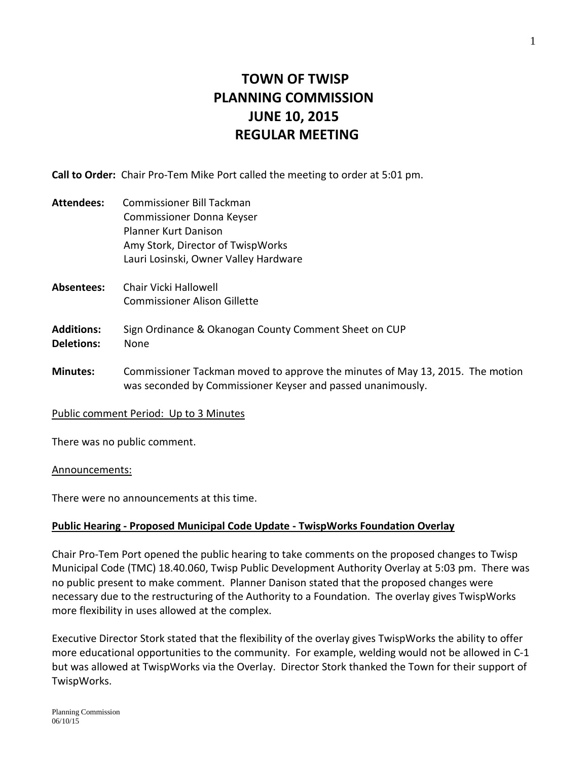# **TOWN OF TWISP PLANNING COMMISSION JUNE 10, 2015 REGULAR MEETING**

**Call to Order:** Chair Pro-Tem Mike Port called the meeting to order at 5:01 pm.

- **Attendees:** Commissioner Bill Tackman Commissioner Donna Keyser Planner Kurt Danison Amy Stork, Director of TwispWorks Lauri Losinski, Owner Valley Hardware
- **Absentees:** Chair Vicki Hallowell Commissioner Alison Gillette

### **Additions:** Sign Ordinance & Okanogan County Comment Sheet on CUP **Deletions:** None

**Minutes:** Commissioner Tackman moved to approve the minutes of May 13, 2015. The motion was seconded by Commissioner Keyser and passed unanimously.

#### Public comment Period: Up to 3 Minutes

There was no public comment.

#### Announcements:

There were no announcements at this time.

#### **Public Hearing - Proposed Municipal Code Update - TwispWorks Foundation Overlay**

Chair Pro-Tem Port opened the public hearing to take comments on the proposed changes to Twisp Municipal Code (TMC) 18.40.060, Twisp Public Development Authority Overlay at 5:03 pm. There was no public present to make comment. Planner Danison stated that the proposed changes were necessary due to the restructuring of the Authority to a Foundation. The overlay gives TwispWorks more flexibility in uses allowed at the complex.

Executive Director Stork stated that the flexibility of the overlay gives TwispWorks the ability to offer more educational opportunities to the community. For example, welding would not be allowed in C-1 but was allowed at TwispWorks via the Overlay. Director Stork thanked the Town for their support of TwispWorks.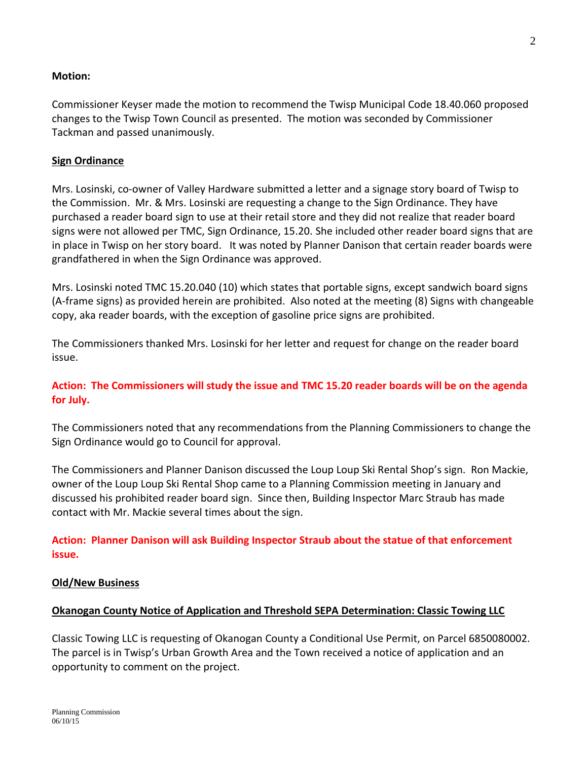## **Motion:**

Commissioner Keyser made the motion to recommend the Twisp Municipal Code 18.40.060 proposed changes to the Twisp Town Council as presented. The motion was seconded by Commissioner Tackman and passed unanimously.

## **Sign Ordinance**

Mrs. Losinski, co-owner of Valley Hardware submitted a letter and a signage story board of Twisp to the Commission. Mr. & Mrs. Losinski are requesting a change to the Sign Ordinance. They have purchased a reader board sign to use at their retail store and they did not realize that reader board signs were not allowed per TMC, Sign Ordinance, 15.20. She included other reader board signs that are in place in Twisp on her story board. It was noted by Planner Danison that certain reader boards were grandfathered in when the Sign Ordinance was approved.

Mrs. Losinski noted TMC 15.20.040 (10) which states that portable signs, except sandwich board signs (A-frame signs) as provided herein are prohibited. Also noted at the meeting (8) Signs with changeable copy, aka reader boards, with the exception of gasoline price signs are prohibited.

The Commissioners thanked Mrs. Losinski for her letter and request for change on the reader board issue.

## **Action: The Commissioners will study the issue and TMC 15.20 reader boards will be on the agenda for July.**

The Commissioners noted that any recommendations from the Planning Commissioners to change the Sign Ordinance would go to Council for approval.

The Commissioners and Planner Danison discussed the Loup Loup Ski Rental Shop's sign. Ron Mackie, owner of the Loup Loup Ski Rental Shop came to a Planning Commission meeting in January and discussed his prohibited reader board sign. Since then, Building Inspector Marc Straub has made contact with Mr. Mackie several times about the sign.

**Action: Planner Danison will ask Building Inspector Straub about the statue of that enforcement issue.** 

#### **Old/New Business**

#### **Okanogan County Notice of Application and Threshold SEPA Determination: Classic Towing LLC**

Classic Towing LLC is requesting of Okanogan County a Conditional Use Permit, on Parcel 6850080002. The parcel is in Twisp's Urban Growth Area and the Town received a notice of application and an opportunity to comment on the project.